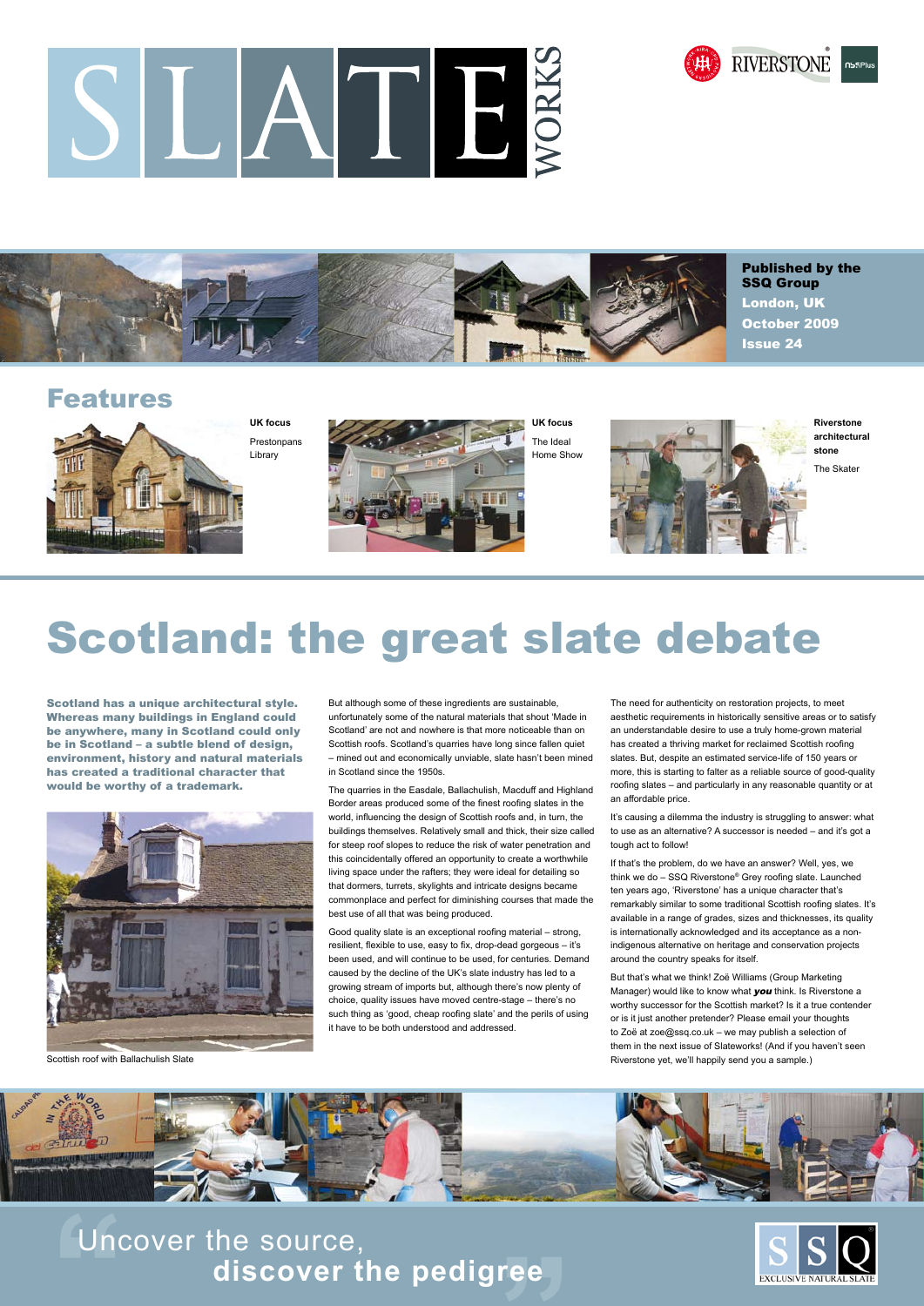**THE CONSERVING SUPPER CONTROLLER CONTROLLER CONTROLLER CONTROLLER CONTROLLER CONTROLLER CONTROLLER CONTROLLER CONTROLLER CONTROLLER CONTROLLER CONTROLLER CONTROLLER CONTROLLER CONTROLLER CONTROLLER CONTROLLER CONTROLLER C** Uncover the source, **discover the pedigree**



Scotland has a unique architectural style. Whereas many buildings in England could be anywhere, many in Scotland could only be in Scotland – a subtle blend of design, environment, history and natural materials has created a traditional character that would be worthy of a trademark.



But although some of these ingredients are sustainable, unfortunately some of the natural materials that shout 'Made in Scotland' are not and nowhere is that more noticeable than on Scottish roofs. Scotland's quarries have long since fallen quiet – mined out and economically unviable, slate hasn't been mined in Scotland since the 1950s.

The quarries in the Easdale, Ballachulish, Macduff and Highland Border areas produced some of the finest roofing slates in the world, influencing the design of Scottish roofs and, in turn, the buildings themselves. Relatively small and thick, their size called for steep roof slopes to reduce the risk of water penetration and this coincidentally offered an opportunity to create a worthwhile living space under the rafters; they were ideal for detailing so that dormers, turrets, skylights and intricate designs became commonplace and perfect for diminishing courses that made the best use of all that was being produced.

Good quality slate is an exceptional roofing material – strong, resilient, flexible to use, easy to fix, drop-dead gorgeous – it's been used, and will continue to be used, for centuries. Demand caused by the decline of the UK's slate industry has led to a growing stream of imports but, although there's now plenty of choice, quality issues have moved centre-stage – there's no such thing as 'good, cheap roofing slate' and the perils of using it have to be both understood and addressed.

Manager) would like to know what **you** think. Is Riverstone a worthy successor for the Scottish market? Is it a true contender or is it just another pretender? Please email your thoughts to Zoë at zoe@ssq.co.uk – we may publish a selection of them in the next issue of Slateworks! (And if you haven't seen Riverstone yet, we'll happily send you a sample.)



The need for authenticity on restoration projects, to meet aesthetic requirements in historically sensitive areas or to satisfy an understandable desire to use a truly home-grown material has created a thriving market for reclaimed Scottish roofing slates. But, despite an estimated service-life of 150 years or more, this is starting to falter as a reliable source of good-quality roofing slates – and particularly in any reasonable quantity or at an affordable price.

It's causing a dilemma the industry is struggling to answer: what to use as an alternative? A successor is needed – and it's got a tough act to follow!

If that's the problem, do we have an answer? Well, yes, we think we do – SSQ Riverstone® Grey roofing slate. Launched ten years ago, 'Riverstone' has a unique character that's remarkably similar to some traditional Scottish roofing slates. It's available in a range of grades, sizes and thicknesses, its quality is internationally acknowledged and its acceptance as a nonindigenous alternative on heritage and conservation projects around the country speaks for itself.

But that's what we think! Zoë Williams (Group Marketing

### Features



**UK focus** Prestonpans Library



The Ideal Home Show



**Riverstone architectural stone**

The Skater

# SLATE





Published by the SSQ Group London, UK October 2009 Issue 24

Scottish roof with Ballachulish Slate

# Scotland: the great slate debate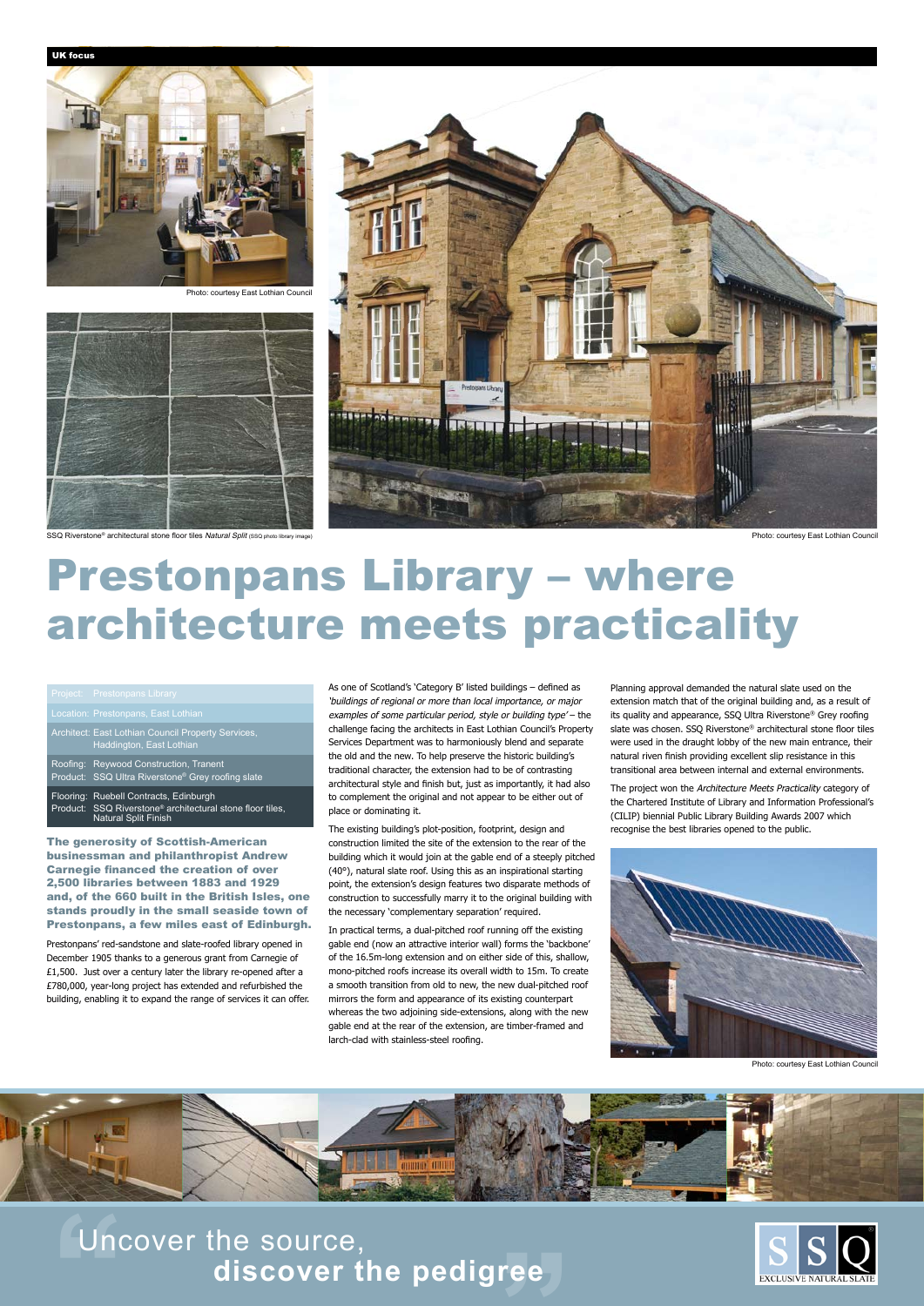**THE Uncover the source,<br>
discover the pedigree discover the pedigree**



## Prestonpans Library – where architecture meets practicality

UK focus

The generosity of Scottish-American businessman and philanthropist Andrew Carnegie financed the creation of over 2,500 libraries between 1883 and 1929 and, of the 660 built in the British Isles, one stands proudly in the small seaside town of Prestonpans, a few miles east of Edinburgh.

#### Architect: East Lothian Council Property Services, Haddington, East Lothian Roofing: Reywood Construction, Tranent Product: SSQ Ultra Riverstone® Grey roofing slate Flooring: Ruebell Contracts, Edinburgh Product: SSQ Riverstone® architectural stone floor tiles, Natural Split Finish

Prestonpans' red-sandstone and slate-roofed library opened in December 1905 thanks to a generous grant from Carnegie of £1,500. Just over a century later the library re-opened after a £780,000, year-long project has extended and refurbished the building, enabling it to expand the range of services it can offer. As one of Scotland's 'Category B' listed buildings – defined as 'buildings of regional or more than local importance, or major examples of some particular period, style or building type' – the challenge facing the architects in East Lothian Council's Property Services Department was to harmoniously blend and separate the old and the new. To help preserve the historic building's traditional character, the extension had to be of contrasting architectural style and finish but, just as importantly, it had also to complement the original and not appear to be either out of place or dominating it.

The project won the Architecture Meets Practicality category of the Chartered Institute of Library and Information Professional's (CILIP) biennial Public Library Building Awards 2007 which recognise the best libraries opened to the public.



Photo: courtesy East Lothian Council



The existing building's plot-position, footprint, design and construction limited the site of the extension to the rear of the building which it would join at the gable end of a steeply pitched (40°), natural slate roof. Using this as an inspirational starting point, the extension's design features two disparate methods of construction to successfully marry it to the original building with the necessary 'complementary separation' required.

In practical terms, a dual-pitched roof running off the existing gable end (now an attractive interior wall) forms the 'backbone' of the 16.5m-long extension and on either side of this, shallow, mono-pitched roofs increase its overall width to 15m. To create smooth transition from old to new, the new dual-pitched roof mirrors the form and appearance of its existing counterpart whereas the two adjoining side-extensions, along with the new gable end at the rear of the extension, are timber-framed and larch-clad with stainless-steel roofing.

Planning approval demanded the natural slate used on the extension match that of the original building and, as a result of its quality and appearance, SSQ Ultra Riverstone® Grey roofing slate was chosen. SSQ Riverstone® architectural stone floor tiles were used in the draught lobby of the new main entrance, their natural riven finish providing excellent slip resistance in this transitional area between internal and external environments.

Photo: courtesy East Lothian Council



Photo: courtesy East Lothian Council

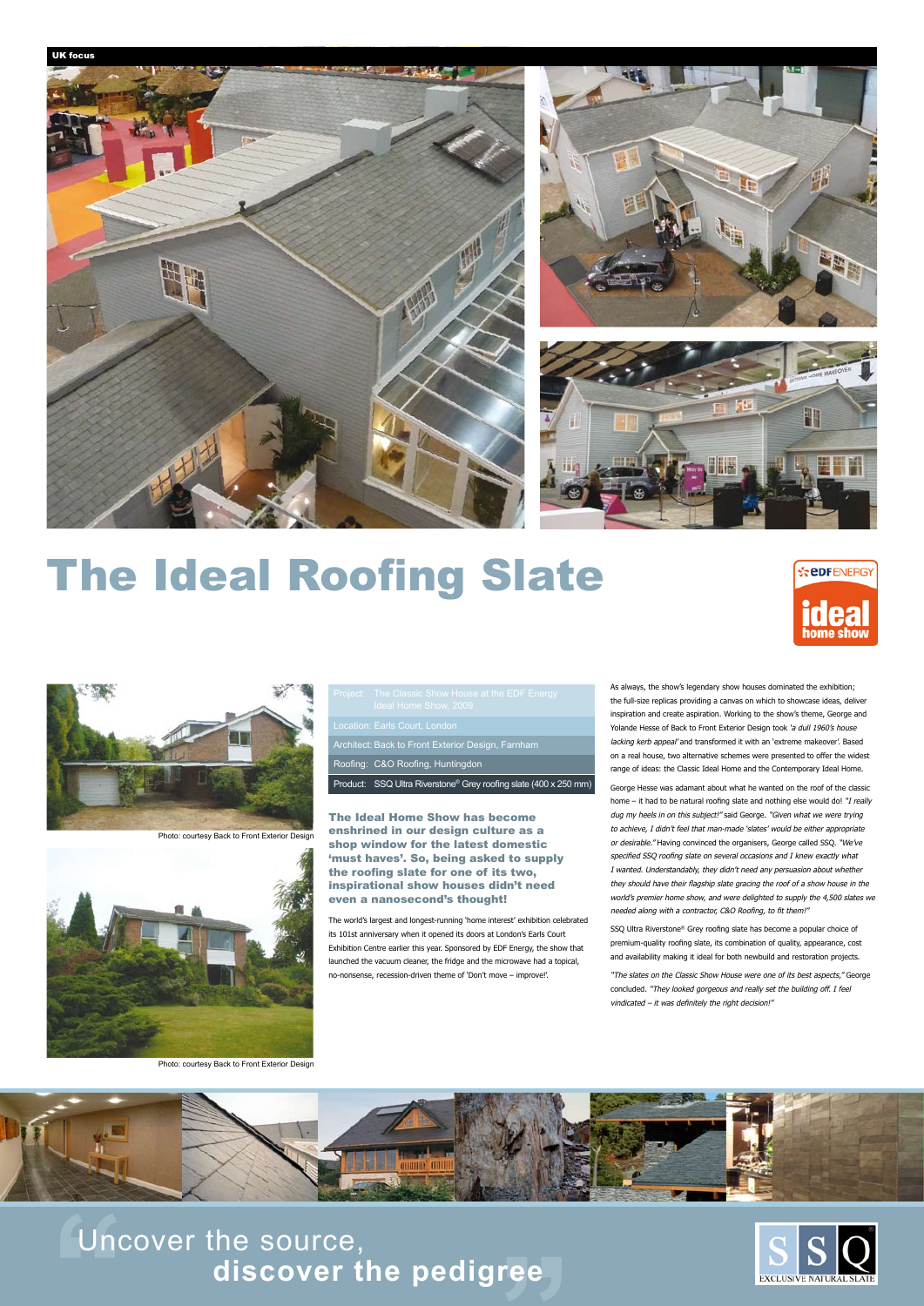Uncover the source,<br>discover the pedigree Uncover the source, **discover the pedigree**



## The Ideal Roofing Slate





|  | Project: The Classic Show House at the EDF Energy<br>Ideal Home Show, 2009   |
|--|------------------------------------------------------------------------------|
|  | Location: Earls Court, London                                                |
|  | Architect: Back to Front Exterior Design, Farnham                            |
|  | Roofing: C&O Roofing, Huntingdon                                             |
|  | Product: SSQ Ultra Riverstone <sup>®</sup> Grey roofing slate (400 x 250 mm) |

The Ideal Home Show has become enshrined in our design culture as a shop window for the latest domestic 'must haves'. So, being asked to supply the roofing slate for one of its two, inspirational show houses didn't need even a nanosecond's thought!

The world's largest and longest-running 'home interest' exhibition celebrated its 101st anniversary when it opened its doors at London's Earls Court Exhibition Centre earlier this year. Sponsored by EDF Energy, the show that launched the vacuum cleaner, the fridge and the microwave had a topical, no-nonsense, recession-driven theme of 'Don't move – improve!'.

As always, the show's legendary show houses dominated the exhibition; the full-size replicas providing a canvas on which to showcase ideas, deliver inspiration and create aspiration. Working to the show's theme, George and Yolande Hesse of Back to Front Exterior Design took 'a dull 1960's house lacking kerb appeal' and transformed it with an 'extreme makeover'. Based on a real house, two alternative schemes were presented to offer the widest range of ideas: the Classic Ideal Home and the Contemporary Ideal Home.

George Hesse was adamant about what he wanted on the roof of the classic home – it had to be natural roofing slate and nothing else would do! "I really dug my heels in on this subject!" said George. "Given what we were trying to achieve, I didn't feel that man-made 'slates' would be either appropriate or desirable." Having convinced the organisers, George called SSQ. "We've specified SSQ roofing slate on several occasions and I knew exactly what I wanted. Understandably, they didn't need any persuasion about whether they should have their flagship slate gracing the roof of a show house in the world's premier home show, and were delighted to supply the 4,500 slates we needed along with a contractor, C&O Roofing, to fit them!"

SSQ Ultra Riverstone® Grey roofing slate has become a popular choice of premium-quality roofing slate, its combination of quality, appearance, cost and availability making it ideal for both newbuild and restoration projects.

"The slates on the Classic Show House were one of its best aspects," George

concluded. "They looked gorgeous and really set the building off. I feel vindicated – it was definitely the right decision!"



Photo: courtesy Back to Front Exterior Design



Photo: courtesy Back to Front Exterior Design